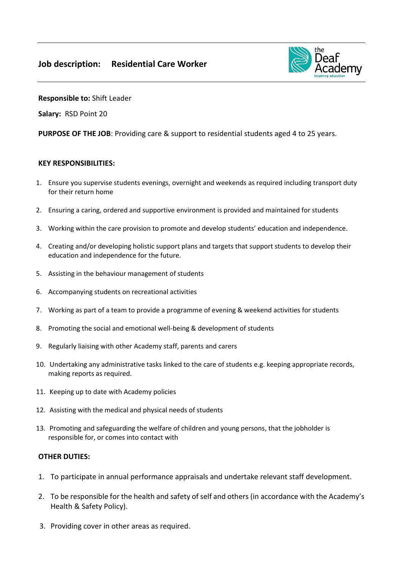

**Responsible to:** Shift Leader

**Salary:** RSD Point 20

**PURPOSE OF THE JOB**: Providing care & support to residential students aged 4 to 25 years.

## **KEY RESPONSIBILITIES:**

- 1. Ensure you supervise students evenings, overnight and weekends as required including transport duty for their return home
- 2. Ensuring a caring, ordered and supportive environment is provided and maintained for students
- 3. Working within the care provision to promote and develop students' education and independence.
- 4. Creating and/or developing holistic support plans and targets that support students to develop their education and independence for the future.
- 5. Assisting in the behaviour management of students
- 6. Accompanying students on recreational activities
- 7. Working as part of a team to provide a programme of evening & weekend activities for students
- 8. Promoting the social and emotional well-being & development of students
- 9. Regularly liaising with other Academy staff, parents and carers
- 10. Undertaking any administrative tasks linked to the care of students e.g. keeping appropriate records, making reports as required.
- 11. Keeping up to date with Academy policies
- 12. Assisting with the medical and physical needs of students
- 13. Promoting and safeguarding the welfare of children and young persons, that the jobholder is responsible for, or comes into contact with

## **OTHER DUTIES:**

- 1. To participate in annual performance appraisals and undertake relevant staff development.
- 2. To be responsible for the health and safety of self and others (in accordance with the Academy's Health & Safety Policy).
- 3. Providing cover in other areas as required.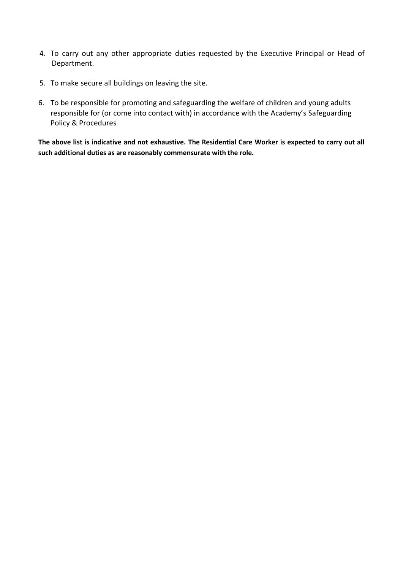- 4. To carry out any other appropriate duties requested by the Executive Principal or Head of Department.
- 5. To make secure all buildings on leaving the site.
- 6. To be responsible for promoting and safeguarding the welfare of children and young adults responsible for (or come into contact with) in accordance with the Academy's Safeguarding Policy & Procedures

**The above list is indicative and not exhaustive. The Residential Care Worker is expected to carry out all such additional duties as are reasonably commensurate with the role.**